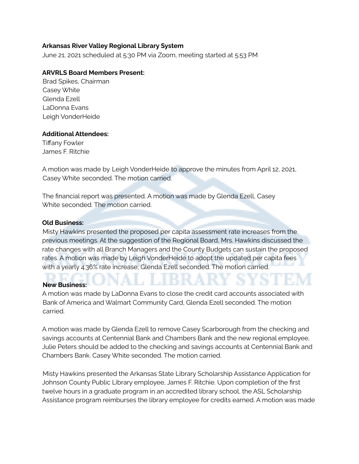## **Arkansas River Valley Regional Library System**

June 21, 2021 scheduled at 5:30 PM via Zoom, meeting started at 5:53 PM

## **ARVRLS Board Members Present:**

Brad Spikes, Chairman Casey White Glenda Ezell LaDonna Evans Leigh VonderHeide

## **Additional Attendees:**

Tiffany Fowler James F. Ritchie

A motion was made by Leigh VonderHeide to approve the minutes from April 12, 2021, Casey White seconded. The motion carried.

The financial report was presented. A motion was made by Glenda Ezell, Casey White seconded. The motion carried.

#### **Old Business:**

Misty Hawkins presented the proposed per capita assessment rate increases from the previous meetings. At the suggestion of the Regional Board, Mrs. Hawkins discussed the rate changes with all Branch Managers and the County Budgets can sustain the proposed rates. A motion was made by Leigh VonderHeide to adopt the updated per capita fees with a yearly 4.36% rate increase; Glenda Ezell seconded. The motion carried.

# **New Business:**

A motion was made by LaDonna Evans to close the credit card accounts associated with Bank of America and Walmart Community Card, Glenda Ezell seconded. The motion carried.

A motion was made by Glenda Ezell to remove Casey Scarborough from the checking and savings accounts at Centennial Bank and Chambers Bank and the new regional employee, Julie Peters should be added to the checking and savings accounts at Centennial Bank and Chambers Bank. Casey White seconded. The motion carried.

Misty Hawkins presented the Arkansas State Library Scholarship Assistance Application for Johnson County Public Library employee, James F. Ritchie. Upon completion of the first twelve hours in a graduate program in an accredited library school, the ASL Scholarship Assistance program reimburses the library employee for credits earned. A motion was made